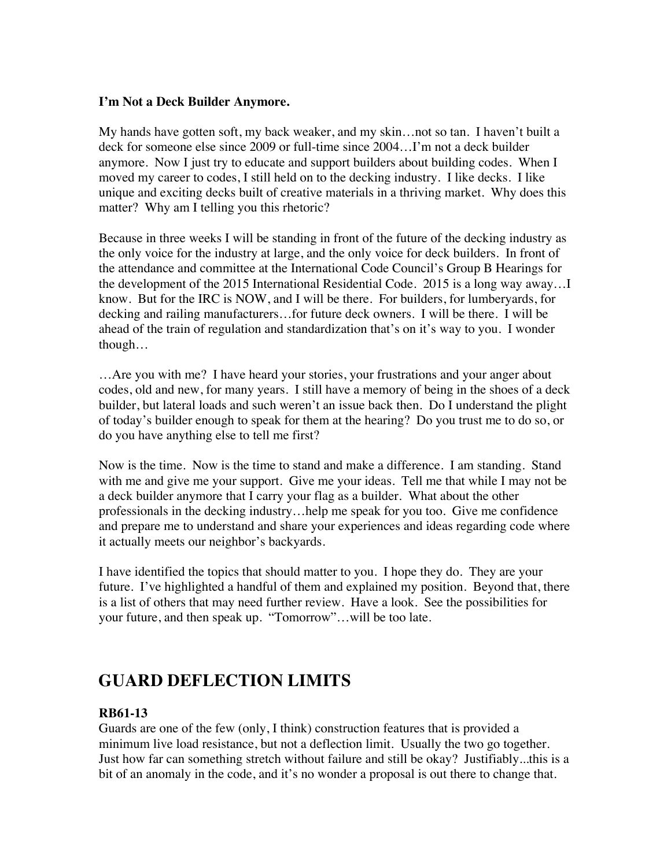#### **I'm Not a Deck Builder Anymore.**

My hands have gotten soft, my back weaker, and my skin…not so tan. I haven't built a deck for someone else since 2009 or full-time since 2004…I'm not a deck builder anymore. Now I just try to educate and support builders about building codes. When I moved my career to codes, I still held on to the decking industry. I like decks. I like unique and exciting decks built of creative materials in a thriving market. Why does this matter? Why am I telling you this rhetoric?

Because in three weeks I will be standing in front of the future of the decking industry as the only voice for the industry at large, and the only voice for deck builders. In front of the attendance and committee at the International Code Council's Group B Hearings for the development of the 2015 International Residential Code. 2015 is a long way away…I know. But for the IRC is NOW, and I will be there. For builders, for lumberyards, for decking and railing manufacturers…for future deck owners. I will be there. I will be ahead of the train of regulation and standardization that's on it's way to you. I wonder though…

…Are you with me? I have heard your stories, your frustrations and your anger about codes, old and new, for many years. I still have a memory of being in the shoes of a deck builder, but lateral loads and such weren't an issue back then. Do I understand the plight of today's builder enough to speak for them at the hearing? Do you trust me to do so, or do you have anything else to tell me first?

Now is the time. Now is the time to stand and make a difference. I am standing. Stand with me and give me your support. Give me your ideas. Tell me that while I may not be a deck builder anymore that I carry your flag as a builder. What about the other professionals in the decking industry…help me speak for you too. Give me confidence and prepare me to understand and share your experiences and ideas regarding code where it actually meets our neighbor's backyards.

I have identified the topics that should matter to you. I hope they do. They are your future. I've highlighted a handful of them and explained my position. Beyond that, there is a list of others that may need further review. Have a look. See the possibilities for your future, and then speak up. "Tomorrow"…will be too late.

# **GUARD DEFLECTION LIMITS**

#### **RB61-13**

Guards are one of the few (only, I think) construction features that is provided a minimum live load resistance, but not a deflection limit. Usually the two go together. Just how far can something stretch without failure and still be okay? Justifiably...this is a bit of an anomaly in the code, and it's no wonder a proposal is out there to change that.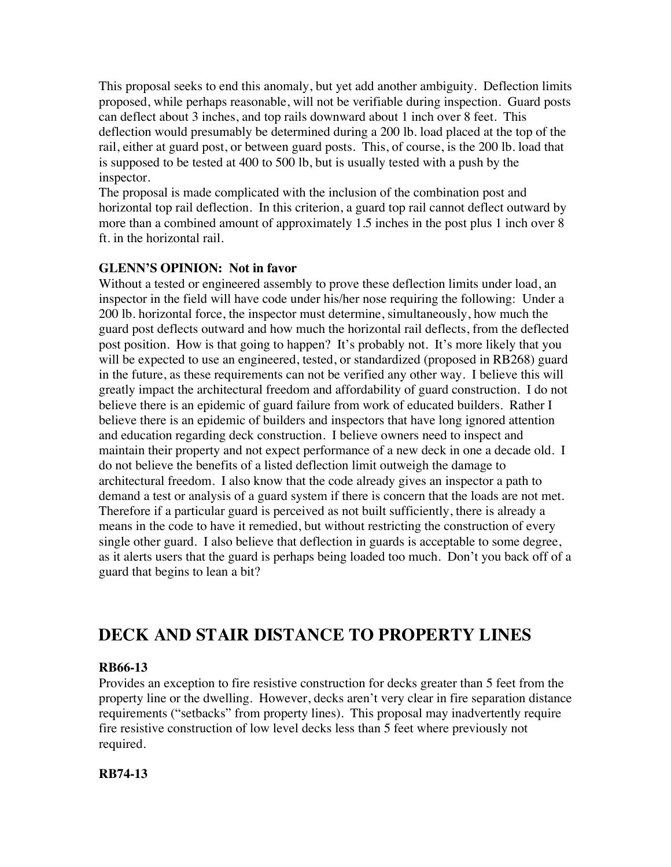This proposal seeks to end this anomaly, but yet add another ambiguity. Deflection limits proposed, while perhaps reasonable, will not be verifiable during inspection. Guard posts can deflect about 3 inches, and top rails downward about 1 inch over 8 feet. This deflection would presumably be determined during a 200 lb. load placed at the top of the rail, either at guard post, or between guard posts. This, of course, is the 200 lb. load that is supposed to be tested at 400 to 500 lb, but is usually tested with a push by the inspector.

The proposal is made complicated with the inclusion of the combination post and horizontal top rail deflection. In this criterion, a guard top rail cannot deflect outward by more than a combined amount of approximately 1.5 inches in the post plus 1 inch over 8 ft. in the horizontal rail.

# **GLENN'S OPINION: Not in favor**

Without a tested or engineered assembly to prove these deflection limits under load, an inspector in the field will have code under his/her nose requiring the following: Under a 200 lb. horizontal force, the inspector must determine, simultaneously, how much the guard post deflects outward and how much the horizontal rail deflects, from the deflected post position. How is that going to happen? It's probably not. It's more likely that you will be expected to use an engineered, tested, or standardized (proposed in RB268) guard in the future, as these requirements can not be verified any other way. I believe this will greatly impact the architectural freedom and affordability of guard construction. I do not believe there is an epidemic of guard failure from work of educated builders. Rather I believe there is an epidemic of builders and inspectors that have long ignored attention and education regarding deck construction. I believe owners need to inspect and maintain their property and not expect performance of a new deck in one a decade old. I do not believe the benefits of a listed deflection limit outweigh the damage to architectural freedom. I also know that the code already gives an inspector a path to demand a test or analysis of a guard system if there is concern that the loads are not met. Therefore if a particular guard is perceived as not built sufficiently, there is already a means in the code to have it remedied, but without restricting the construction of every single other guard. I also believe that deflection in guards is acceptable to some degree, as it alerts users that the guard is perhaps being loaded too much. Don't you back off of a guard that begins to lean a bit?

# **DECK AND STAIR DISTANCE TO PROPERTY LINES**

# **RB66-13**

Provides an exception to fire resistive construction for decks greater than 5 feet from the property line or the dwelling. However, decks aren't very clear in fire separation distance requirements ("setbacks" from property lines). This proposal may inadvertently require fire resistive construction of low level decks less than 5 feet where previously not required.

# **RB74-13**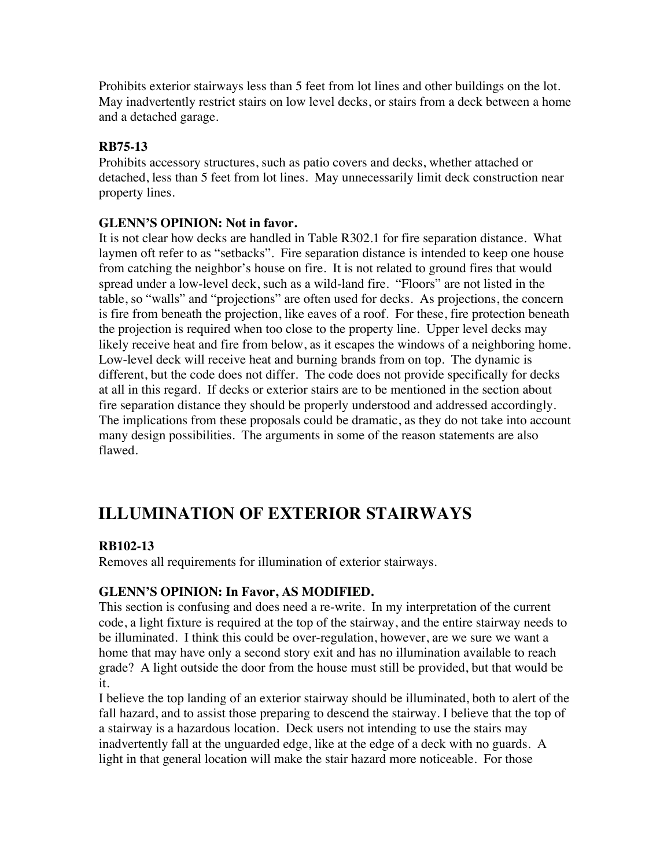Prohibits exterior stairways less than 5 feet from lot lines and other buildings on the lot. May inadvertently restrict stairs on low level decks, or stairs from a deck between a home and a detached garage.

### **RB75-13**

Prohibits accessory structures, such as patio covers and decks, whether attached or detached, less than 5 feet from lot lines. May unnecessarily limit deck construction near property lines.

#### **GLENN'S OPINION: Not in favor.**

It is not clear how decks are handled in Table R302.1 for fire separation distance. What laymen oft refer to as "setbacks". Fire separation distance is intended to keep one house from catching the neighbor's house on fire. It is not related to ground fires that would spread under a low-level deck, such as a wild-land fire. "Floors" are not listed in the table, so "walls" and "projections" are often used for decks. As projections, the concern is fire from beneath the projection, like eaves of a roof. For these, fire protection beneath the projection is required when too close to the property line. Upper level decks may likely receive heat and fire from below, as it escapes the windows of a neighboring home. Low-level deck will receive heat and burning brands from on top. The dynamic is different, but the code does not differ. The code does not provide specifically for decks at all in this regard. If decks or exterior stairs are to be mentioned in the section about fire separation distance they should be properly understood and addressed accordingly. The implications from these proposals could be dramatic, as they do not take into account many design possibilities. The arguments in some of the reason statements are also flawed.

# **ILLUMINATION OF EXTERIOR STAIRWAYS**

# **RB102-13**

Removes all requirements for illumination of exterior stairways.

# **GLENN'S OPINION: In Favor, AS MODIFIED.**

This section is confusing and does need a re-write. In my interpretation of the current code, a light fixture is required at the top of the stairway, and the entire stairway needs to be illuminated. I think this could be over-regulation, however, are we sure we want a home that may have only a second story exit and has no illumination available to reach grade? A light outside the door from the house must still be provided, but that would be it.

I believe the top landing of an exterior stairway should be illuminated, both to alert of the fall hazard, and to assist those preparing to descend the stairway. I believe that the top of a stairway is a hazardous location. Deck users not intending to use the stairs may inadvertently fall at the unguarded edge, like at the edge of a deck with no guards. A light in that general location will make the stair hazard more noticeable. For those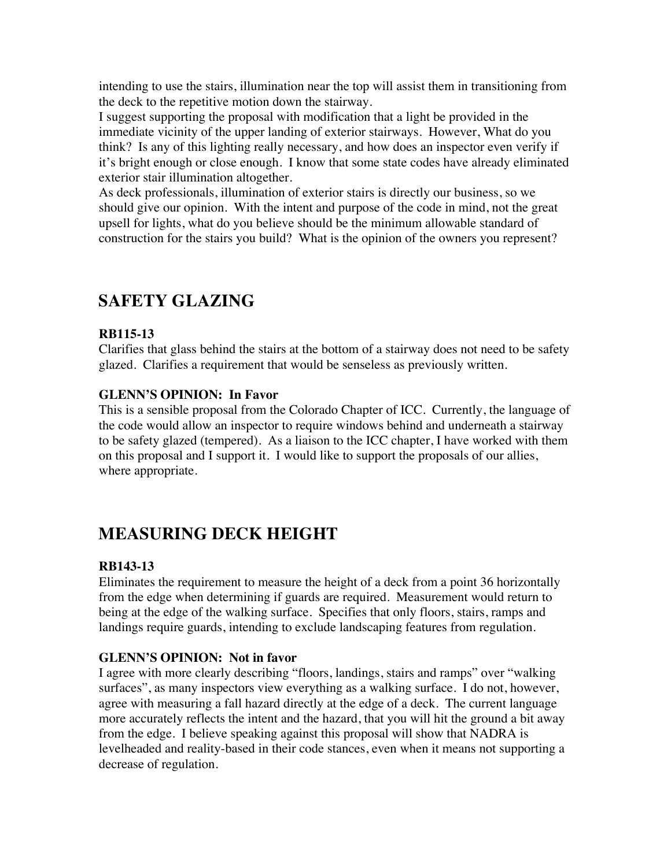intending to use the stairs, illumination near the top will assist them in transitioning from the deck to the repetitive motion down the stairway.

I suggest supporting the proposal with modification that a light be provided in the immediate vicinity of the upper landing of exterior stairways. However, What do you think? Is any of this lighting really necessary, and how does an inspector even verify if it's bright enough or close enough. I know that some state codes have already eliminated exterior stair illumination altogether.

As deck professionals, illumination of exterior stairs is directly our business, so we should give our opinion. With the intent and purpose of the code in mind, not the great upsell for lights, what do you believe should be the minimum allowable standard of construction for the stairs you build? What is the opinion of the owners you represent?

# **SAFETY GLAZING**

# **RB115-13**

Clarifies that glass behind the stairs at the bottom of a stairway does not need to be safety glazed. Clarifies a requirement that would be senseless as previously written.

# **GLENN'S OPINION: In Favor**

This is a sensible proposal from the Colorado Chapter of ICC. Currently, the language of the code would allow an inspector to require windows behind and underneath a stairway to be safety glazed (tempered). As a liaison to the ICC chapter, I have worked with them on this proposal and I support it. I would like to support the proposals of our allies, where appropriate.

# **MEASURING DECK HEIGHT**

# **RB143-13**

Eliminates the requirement to measure the height of a deck from a point 36 horizontally from the edge when determining if guards are required. Measurement would return to being at the edge of the walking surface. Specifies that only floors, stairs, ramps and landings require guards, intending to exclude landscaping features from regulation.

# **GLENN'S OPINION: Not in favor**

I agree with more clearly describing "floors, landings, stairs and ramps" over "walking surfaces", as many inspectors view everything as a walking surface. I do not, however, agree with measuring a fall hazard directly at the edge of a deck. The current language more accurately reflects the intent and the hazard, that you will hit the ground a bit away from the edge. I believe speaking against this proposal will show that NADRA is levelheaded and reality-based in their code stances, even when it means not supporting a decrease of regulation.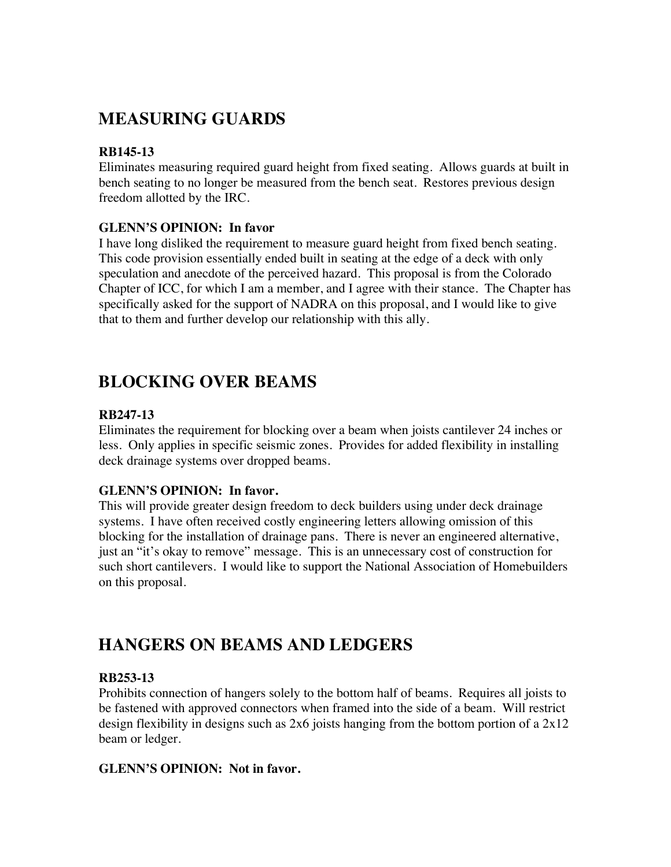# **MEASURING GUARDS**

# **RB145-13**

Eliminates measuring required guard height from fixed seating. Allows guards at built in bench seating to no longer be measured from the bench seat. Restores previous design freedom allotted by the IRC.

# **GLENN'S OPINION: In favor**

I have long disliked the requirement to measure guard height from fixed bench seating. This code provision essentially ended built in seating at the edge of a deck with only speculation and anecdote of the perceived hazard. This proposal is from the Colorado Chapter of ICC, for which I am a member, and I agree with their stance. The Chapter has specifically asked for the support of NADRA on this proposal, and I would like to give that to them and further develop our relationship with this ally.

# **BLOCKING OVER BEAMS**

# **RB247-13**

Eliminates the requirement for blocking over a beam when joists cantilever 24 inches or less. Only applies in specific seismic zones. Provides for added flexibility in installing deck drainage systems over dropped beams.

#### **GLENN'S OPINION: In favor.**

This will provide greater design freedom to deck builders using under deck drainage systems. I have often received costly engineering letters allowing omission of this blocking for the installation of drainage pans. There is never an engineered alternative, just an "it's okay to remove" message. This is an unnecessary cost of construction for such short cantilevers. I would like to support the National Association of Homebuilders on this proposal.

# **HANGERS ON BEAMS AND LEDGERS**

# **RB253-13**

Prohibits connection of hangers solely to the bottom half of beams. Requires all joists to be fastened with approved connectors when framed into the side of a beam. Will restrict design flexibility in designs such as  $2x6$  joists hanging from the bottom portion of a  $2x12$ beam or ledger.

# **GLENN'S OPINION: Not in favor.**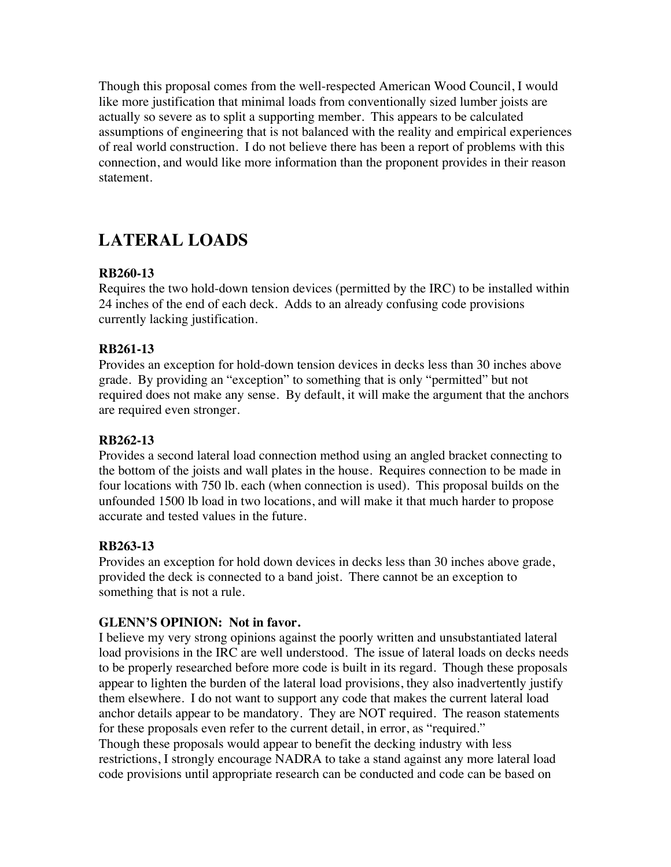Though this proposal comes from the well-respected American Wood Council, I would like more justification that minimal loads from conventionally sized lumber joists are actually so severe as to split a supporting member. This appears to be calculated assumptions of engineering that is not balanced with the reality and empirical experiences of real world construction. I do not believe there has been a report of problems with this connection, and would like more information than the proponent provides in their reason statement.

# **LATERAL LOADS**

# **RB260-13**

Requires the two hold-down tension devices (permitted by the IRC) to be installed within 24 inches of the end of each deck. Adds to an already confusing code provisions currently lacking justification.

#### **RB261-13**

Provides an exception for hold-down tension devices in decks less than 30 inches above grade. By providing an "exception" to something that is only "permitted" but not required does not make any sense. By default, it will make the argument that the anchors are required even stronger.

### **RB262-13**

Provides a second lateral load connection method using an angled bracket connecting to the bottom of the joists and wall plates in the house. Requires connection to be made in four locations with 750 lb. each (when connection is used). This proposal builds on the unfounded 1500 lb load in two locations, and will make it that much harder to propose accurate and tested values in the future.

#### **RB263-13**

Provides an exception for hold down devices in decks less than 30 inches above grade, provided the deck is connected to a band joist. There cannot be an exception to something that is not a rule.

#### **GLENN'S OPINION: Not in favor.**

I believe my very strong opinions against the poorly written and unsubstantiated lateral load provisions in the IRC are well understood. The issue of lateral loads on decks needs to be properly researched before more code is built in its regard. Though these proposals appear to lighten the burden of the lateral load provisions, they also inadvertently justify them elsewhere. I do not want to support any code that makes the current lateral load anchor details appear to be mandatory. They are NOT required. The reason statements for these proposals even refer to the current detail, in error, as "required." Though these proposals would appear to benefit the decking industry with less restrictions, I strongly encourage NADRA to take a stand against any more lateral load code provisions until appropriate research can be conducted and code can be based on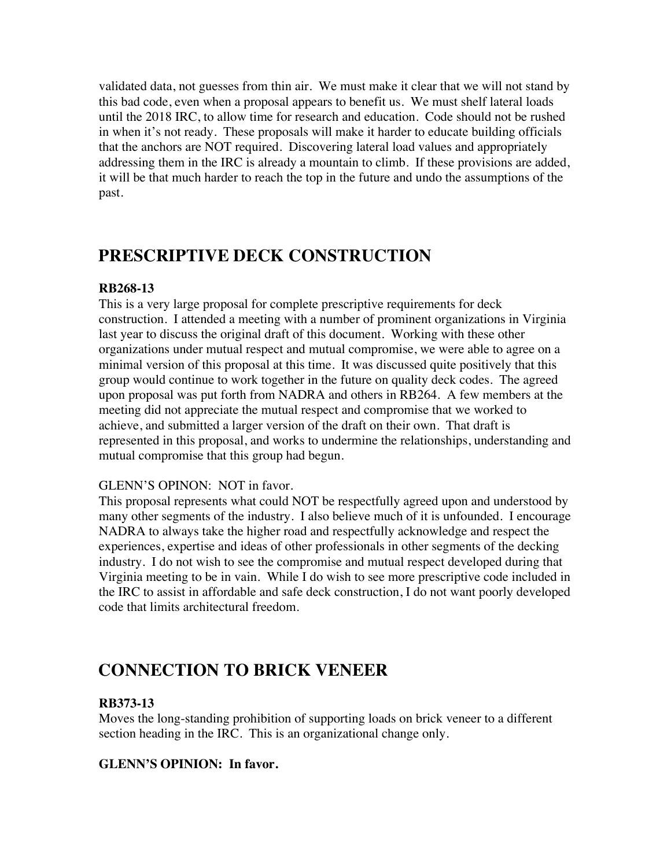validated data, not guesses from thin air. We must make it clear that we will not stand by this bad code, even when a proposal appears to benefit us. We must shelf lateral loads until the 2018 IRC, to allow time for research and education. Code should not be rushed in when it's not ready. These proposals will make it harder to educate building officials that the anchors are NOT required. Discovering lateral load values and appropriately addressing them in the IRC is already a mountain to climb. If these provisions are added, it will be that much harder to reach the top in the future and undo the assumptions of the past.

# **PRESCRIPTIVE DECK CONSTRUCTION**

# **RB268-13**

This is a very large proposal for complete prescriptive requirements for deck construction. I attended a meeting with a number of prominent organizations in Virginia last year to discuss the original draft of this document. Working with these other organizations under mutual respect and mutual compromise, we were able to agree on a minimal version of this proposal at this time. It was discussed quite positively that this group would continue to work together in the future on quality deck codes. The agreed upon proposal was put forth from NADRA and others in RB264. A few members at the meeting did not appreciate the mutual respect and compromise that we worked to achieve, and submitted a larger version of the draft on their own. That draft is represented in this proposal, and works to undermine the relationships, understanding and mutual compromise that this group had begun.

# GLENN'S OPINON: NOT in favor.

This proposal represents what could NOT be respectfully agreed upon and understood by many other segments of the industry. I also believe much of it is unfounded. I encourage NADRA to always take the higher road and respectfully acknowledge and respect the experiences, expertise and ideas of other professionals in other segments of the decking industry. I do not wish to see the compromise and mutual respect developed during that Virginia meeting to be in vain. While I do wish to see more prescriptive code included in the IRC to assist in affordable and safe deck construction, I do not want poorly developed code that limits architectural freedom.

# **CONNECTION TO BRICK VENEER**

# **RB373-13**

Moves the long-standing prohibition of supporting loads on brick veneer to a different section heading in the IRC. This is an organizational change only.

# **GLENN'S OPINION: In favor.**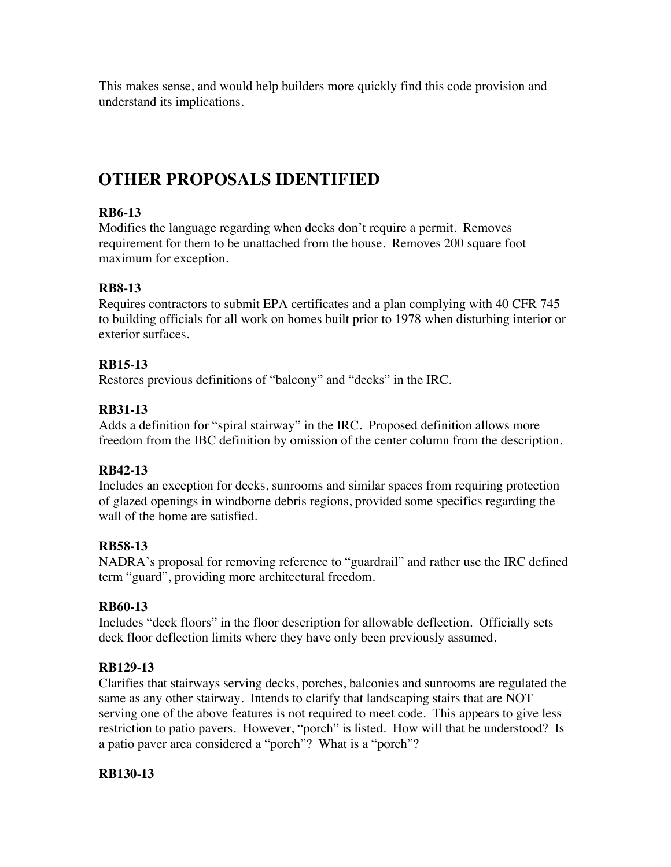This makes sense, and would help builders more quickly find this code provision and understand its implications.

# **OTHER PROPOSALS IDENTIFIED**

# **RB6-13**

Modifies the language regarding when decks don't require a permit. Removes requirement for them to be unattached from the house. Removes 200 square foot maximum for exception.

# **RB8-13**

Requires contractors to submit EPA certificates and a plan complying with 40 CFR 745 to building officials for all work on homes built prior to 1978 when disturbing interior or exterior surfaces.

# **RB15-13**

Restores previous definitions of "balcony" and "decks" in the IRC.

# **RB31-13**

Adds a definition for "spiral stairway" in the IRC. Proposed definition allows more freedom from the IBC definition by omission of the center column from the description.

# **RB42-13**

Includes an exception for decks, sunrooms and similar spaces from requiring protection of glazed openings in windborne debris regions, provided some specifics regarding the wall of the home are satisfied.

# **RB58-13**

NADRA's proposal for removing reference to "guardrail" and rather use the IRC defined term "guard", providing more architectural freedom.

# **RB60-13**

Includes "deck floors" in the floor description for allowable deflection. Officially sets deck floor deflection limits where they have only been previously assumed.

# **RB129-13**

Clarifies that stairways serving decks, porches, balconies and sunrooms are regulated the same as any other stairway. Intends to clarify that landscaping stairs that are NOT serving one of the above features is not required to meet code. This appears to give less restriction to patio pavers. However, "porch" is listed. How will that be understood? Is a patio paver area considered a "porch"? What is a "porch"?

# **RB130-13**